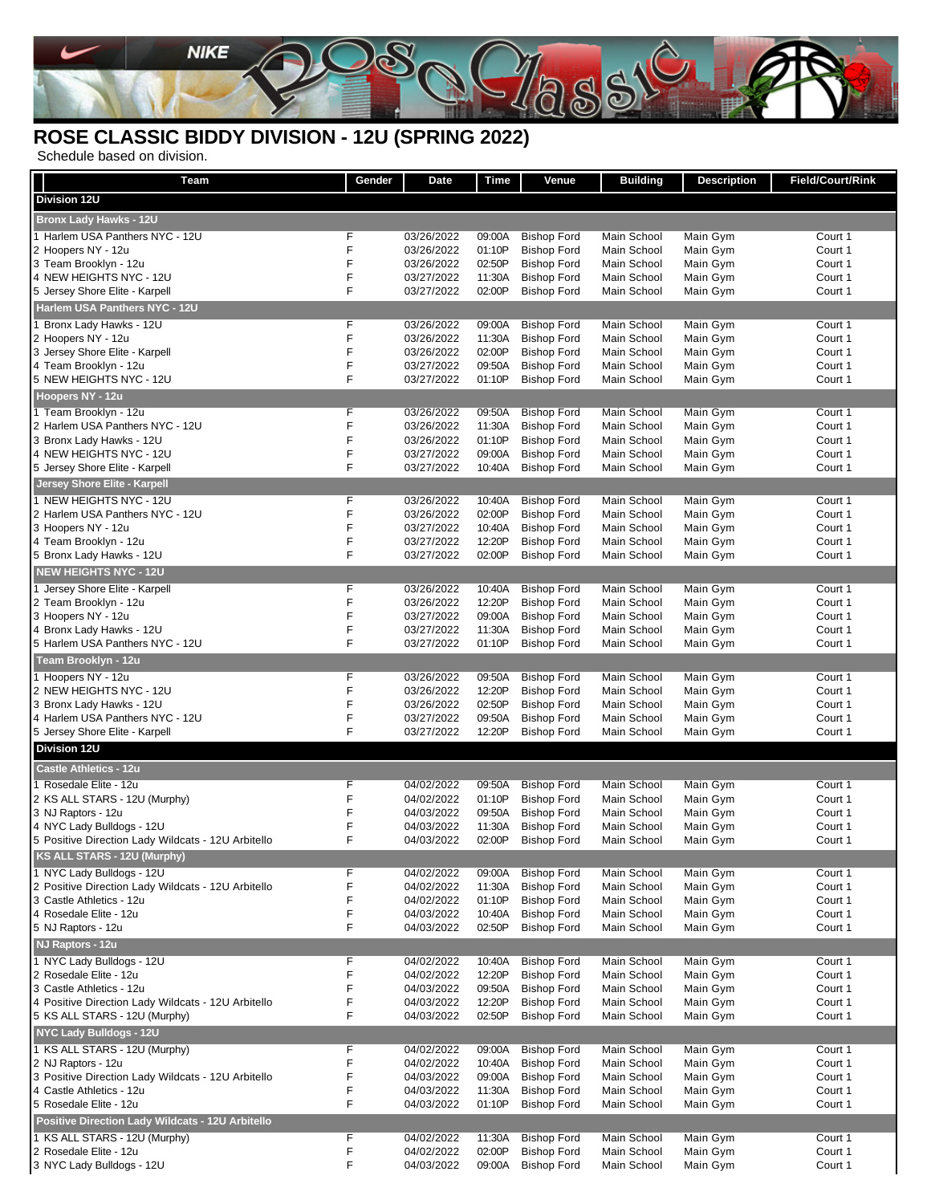

## **ROSE CLASSIC BIDDY DIVISION - 12U (SPRING 2022)**

Schedule based on division.

| Team                                                    | Gender | <b>Date</b>              | Time             | Venue                                    | <b>Building</b>            | <b>Description</b>   | Field/Court/Rink   |
|---------------------------------------------------------|--------|--------------------------|------------------|------------------------------------------|----------------------------|----------------------|--------------------|
| Division 12U                                            |        |                          |                  |                                          |                            |                      |                    |
| <b>Bronx Lady Hawks - 12U</b>                           |        |                          |                  |                                          |                            |                      |                    |
| 1 Harlem USA Panthers NYC - 12U                         | F      | 03/26/2022               | 09:00A           | <b>Bishop Ford</b>                       | Main School                | Main Gym             | Court 1            |
| 2 Hoopers NY - 12u                                      | F      | 03/26/2022               | 01:10P           | <b>Bishop Ford</b>                       | Main School                | Main Gym             | Court 1            |
| 3 Team Brooklyn - 12u                                   | F      | 03/26/2022               | 02:50P           | <b>Bishop Ford</b>                       | Main School                | Main Gym             | Court 1            |
| 4 NEW HEIGHTS NYC - 12U                                 | F      | 03/27/2022               | 11:30A           | <b>Bishop Ford</b>                       | Main School                | Main Gym             | Court 1            |
| 5 Jersey Shore Elite - Karpell                          | F      | 03/27/2022               | 02:00P           | <b>Bishop Ford</b>                       | Main School                | Main Gym             | Court 1            |
| Harlem USA Panthers NYC - 12U                           |        |                          |                  |                                          |                            |                      |                    |
| 1 Bronx Lady Hawks - 12U<br>2 Hoopers NY - 12u          | F<br>F | 03/26/2022<br>03/26/2022 | 09:00A<br>11:30A | <b>Bishop Ford</b><br><b>Bishop Ford</b> | Main School<br>Main School | Main Gym<br>Main Gym | Court 1<br>Court 1 |
| 3 Jersey Shore Elite - Karpell                          | F      | 03/26/2022               | 02:00P           | <b>Bishop Ford</b>                       | Main School                | Main Gym             | Court 1            |
| 4 Team Brooklyn - 12u                                   | F      | 03/27/2022               | 09:50A           | <b>Bishop Ford</b>                       | Main School                | Main Gym             | Court 1            |
| 5 NEW HEIGHTS NYC - 12U                                 | F      | 03/27/2022               | 01:10P           | <b>Bishop Ford</b>                       | Main School                | Main Gym             | Court 1            |
| Hoopers NY - 12u                                        |        |                          |                  |                                          |                            |                      |                    |
| 1 Team Brooklyn - 12u                                   | F      | 03/26/2022               | 09:50A           | <b>Bishop Ford</b>                       | Main School                | Main Gym             | Court 1            |
| 2 Harlem USA Panthers NYC - 12U                         | F      | 03/26/2022               | 11:30A           | <b>Bishop Ford</b>                       | Main School                | Main Gym             | Court 1            |
| 3 Bronx Lady Hawks - 12U<br>4 NEW HEIGHTS NYC - 12U     | F<br>F | 03/26/2022<br>03/27/2022 | 01:10P<br>09:00A | <b>Bishop Ford</b><br><b>Bishop Ford</b> | Main School<br>Main School | Main Gym<br>Main Gym | Court 1<br>Court 1 |
| 5 Jersey Shore Elite - Karpell                          | F      | 03/27/2022               | 10:40A           | <b>Bishop Ford</b>                       | Main School                | Main Gym             | Court 1            |
| Jersey Shore Elite - Karpell                            |        |                          |                  |                                          |                            |                      |                    |
| 1 NEW HEIGHTS NYC - 12U                                 | F      | 03/26/2022               | 10:40A           | <b>Bishop Ford</b>                       | Main School                | Main Gym             | Court 1            |
| 2 Harlem USA Panthers NYC - 12U                         | F      | 03/26/2022               | 02:00P           | <b>Bishop Ford</b>                       | Main School                | Main Gym             | Court 1            |
| 3 Hoopers NY - 12u                                      | F      | 03/27/2022               | 10:40A           | <b>Bishop Ford</b>                       | Main School                | Main Gym             | Court 1            |
| 4 Team Brooklyn - 12u                                   | F      | 03/27/2022               | 12:20P           | <b>Bishop Ford</b>                       | Main School                | Main Gym             | Court 1            |
| 5 Bronx Lady Hawks - 12U                                | F      | 03/27/2022               | 02:00P           | <b>Bishop Ford</b>                       | Main School                | Main Gym             | Court 1            |
| <b>NEW HEIGHTS NYC - 12U</b>                            |        |                          |                  |                                          |                            |                      |                    |
| 1 Jersey Shore Elite - Karpell                          | F      | 03/26/2022               | 10:40A           | <b>Bishop Ford</b>                       | Main School                | Main Gym             | Court 1            |
| 2 Team Brooklyn - 12u                                   | F      | 03/26/2022               | 12:20P           | <b>Bishop Ford</b>                       | Main School                | Main Gym             | Court 1            |
| 3 Hoopers NY - 12u<br>4 Bronx Lady Hawks - 12U          | F<br>F | 03/27/2022<br>03/27/2022 | 09:00A<br>11:30A | <b>Bishop Ford</b><br><b>Bishop Ford</b> | Main School<br>Main School | Main Gym<br>Main Gym | Court 1<br>Court 1 |
| 5 Harlem USA Panthers NYC - 12U                         | F      | 03/27/2022               | 01:10P           | <b>Bishop Ford</b>                       | Main School                | Main Gym             | Court 1            |
| Team Brooklyn - 12u                                     |        |                          |                  |                                          |                            |                      |                    |
| 1 Hoopers NY - 12u                                      | F      | 03/26/2022               | 09:50A           | <b>Bishop Ford</b>                       | Main School                | Main Gym             | Court 1            |
| 2 NEW HEIGHTS NYC - 12U                                 | F      | 03/26/2022               | 12:20P           | <b>Bishop Ford</b>                       | Main School                | Main Gym             | Court 1            |
| 3 Bronx Lady Hawks - 12U                                | F      | 03/26/2022               | 02:50P           | <b>Bishop Ford</b>                       | Main School                | Main Gym             | Court 1            |
| 4 Harlem USA Panthers NYC - 12U                         | F      | 03/27/2022               | 09:50A           | <b>Bishop Ford</b>                       | Main School                | Main Gym             | Court 1            |
| 5 Jersey Shore Elite - Karpell                          | F      | 03/27/2022               | 12:20P           | <b>Bishop Ford</b>                       | Main School                | Main Gym             | Court 1            |
| <b>Division 12U</b>                                     |        |                          |                  |                                          |                            |                      |                    |
| <b>Castle Athletics - 12u</b>                           |        |                          |                  |                                          |                            |                      |                    |
| 1 Rosedale Elite - 12u                                  | F      | 04/02/2022               | 09:50A           | <b>Bishop Ford</b>                       | Main School                | Main Gym             | Court 1            |
| 2 KS ALL STARS - 12U (Murphy)<br>3 NJ Raptors - 12u     | F<br>F | 04/02/2022<br>04/03/2022 | 01:10P<br>09:50A | <b>Bishop Ford</b><br><b>Bishop Ford</b> | Main School<br>Main School | Main Gym<br>Main Gym | Court 1<br>Court 1 |
| 4 NYC Lady Bulldogs - 12U                               | F      | 04/03/2022               | 11:30A           | <b>Bishop Ford</b>                       | Main School                | Main Gym             | Court 1            |
| 5 Positive Direction Lady Wildcats - 12U Arbitello      | F      | 04/03/2022               | 02:00P           | <b>Bishop Ford</b>                       | Main School                | Main Gym             | Court 1            |
| KS ALL STARS - 12U (Murphy)                             |        |                          |                  |                                          |                            |                      |                    |
| 1 NYC Lady Bulldogs - 12U                               | F      | 04/02/2022               | 09:00A           | <b>Bishop Ford</b>                       | Main School                | Main Gym             | Court 1            |
| 2 Positive Direction Lady Wildcats - 12U Arbitello      | F      | 04/02/2022               | 11:30A           | <b>Bishop Ford</b>                       | Main School                | Main Gym             | Court 1            |
| 3 Castle Athletics - 12u                                | F      | 04/02/2022               | 01:10P           | <b>Bishop Ford</b>                       | Main School                | Main Gym             | Court 1            |
| 4 Rosedale Elite - 12u                                  | F      | 04/03/2022               | 10:40A           | <b>Bishop Ford</b>                       | Main School                | Main Gym             | Court 1            |
| 5 NJ Raptors - 12u                                      | F      | 04/03/2022               | 02:50P           | <b>Bishop Ford</b>                       | Main School                | Main Gym             | Court 1            |
| NJ Raptors - 12u                                        |        |                          |                  |                                          |                            |                      |                    |
| 1 NYC Lady Bulldogs - 12U<br>2 Rosedale Elite - 12u     | F<br>F | 04/02/2022<br>04/02/2022 | 10:40A<br>12:20P | <b>Bishop Ford</b><br><b>Bishop Ford</b> | Main School<br>Main School | Main Gym<br>Main Gym | Court 1<br>Court 1 |
| 3 Castle Athletics - 12u                                | F      | 04/03/2022               | 09:50A           | <b>Bishop Ford</b>                       | Main School                | Main Gym             | Court 1            |
| 4 Positive Direction Lady Wildcats - 12U Arbitello      | F      | 04/03/2022               | 12:20P           | <b>Bishop Ford</b>                       | Main School                | Main Gym             | Court 1            |
| 5 KS ALL STARS - 12U (Murphy)                           | F      | 04/03/2022               | 02:50P           | <b>Bishop Ford</b>                       | Main School                | Main Gym             | Court 1            |
| NYC Lady Bulldogs - 12U                                 |        |                          |                  |                                          |                            |                      |                    |
| 1 KS ALL STARS - 12U (Murphy)                           | F      | 04/02/2022               | 09:00A           | <b>Bishop Ford</b>                       | Main School                | Main Gym             | Court 1            |
| 2 NJ Raptors - 12u                                      | F      | 04/02/2022               | 10:40A           | <b>Bishop Ford</b>                       | Main School                | Main Gym             | Court 1            |
| 3 Positive Direction Lady Wildcats - 12U Arbitello      | F      | 04/03/2022               | 09:00A           | <b>Bishop Ford</b>                       | Main School                | Main Gym             | Court 1            |
| 4 Castle Athletics - 12u<br>5 Rosedale Elite - 12u      | F<br>F | 04/03/2022<br>04/03/2022 | 11:30A<br>01:10P | <b>Bishop Ford</b><br><b>Bishop Ford</b> | Main School<br>Main School | Main Gym<br>Main Gym | Court 1<br>Court 1 |
| Positive Direction Lady Wildcats - 12U Arbitello        |        |                          |                  |                                          |                            |                      |                    |
|                                                         |        |                          |                  |                                          |                            |                      |                    |
| 1 KS ALL STARS - 12U (Murphy)<br>2 Rosedale Elite - 12u | F<br>F | 04/02/2022<br>04/02/2022 | 11:30A<br>02:00P | <b>Bishop Ford</b><br><b>Bishop Ford</b> | Main School<br>Main School | Main Gym<br>Main Gym | Court 1<br>Court 1 |
| 3 NYC Lady Bulldogs - 12U                               | F      | 04/03/2022               | 09:00A           | <b>Bishop Ford</b>                       | Main School                | Main Gym             | Court 1            |
|                                                         |        |                          |                  |                                          |                            |                      |                    |